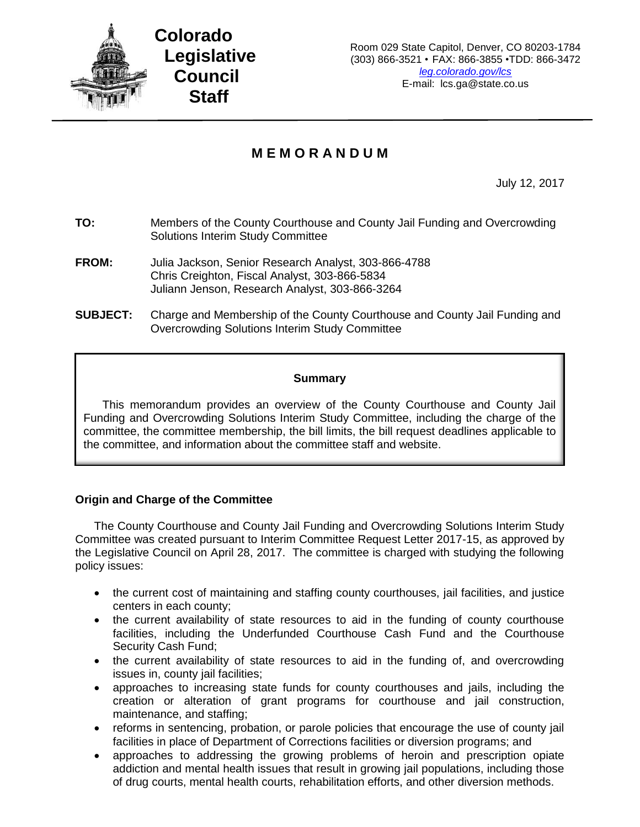

# **M E M O R A N D U M**

July 12, 2017

- **TO:** Members of the County Courthouse and County Jail Funding and Overcrowding Solutions Interim Study Committee
- **FROM:** Julia Jackson, Senior Research Analyst, 303-866-4788 Chris Creighton, Fiscal Analyst, 303-866-5834 Juliann Jenson, Research Analyst, 303-866-3264
- **SUBJECT:** Charge and Membership of the County Courthouse and County Jail Funding and Overcrowding Solutions Interim Study Committee

# **Summary**

This memorandum provides an overview of the County Courthouse and County Jail Funding and Overcrowding Solutions Interim Study Committee, including the charge of the committee, the committee membership, the bill limits, the bill request deadlines applicable to the committee, and information about the committee staff and website.

# **Origin and Charge of the Committee**

The County Courthouse and County Jail Funding and Overcrowding Solutions Interim Study Committee was created pursuant to Interim Committee Request Letter 2017-15, as approved by the Legislative Council on April 28, 2017. The committee is charged with studying the following policy issues:

- the current cost of maintaining and staffing county courthouses, jail facilities, and justice centers in each county;
- the current availability of state resources to aid in the funding of county courthouse facilities, including the Underfunded Courthouse Cash Fund and the Courthouse Security Cash Fund;
- the current availability of state resources to aid in the funding of, and overcrowding issues in, county jail facilities;
- approaches to increasing state funds for county courthouses and jails, including the creation or alteration of grant programs for courthouse and jail construction, maintenance, and staffing;
- reforms in sentencing, probation, or parole policies that encourage the use of county jail facilities in place of Department of Corrections facilities or diversion programs; and
- approaches to addressing the growing problems of heroin and prescription opiate addiction and mental health issues that result in growing jail populations, including those of drug courts, mental health courts, rehabilitation efforts, and other diversion methods.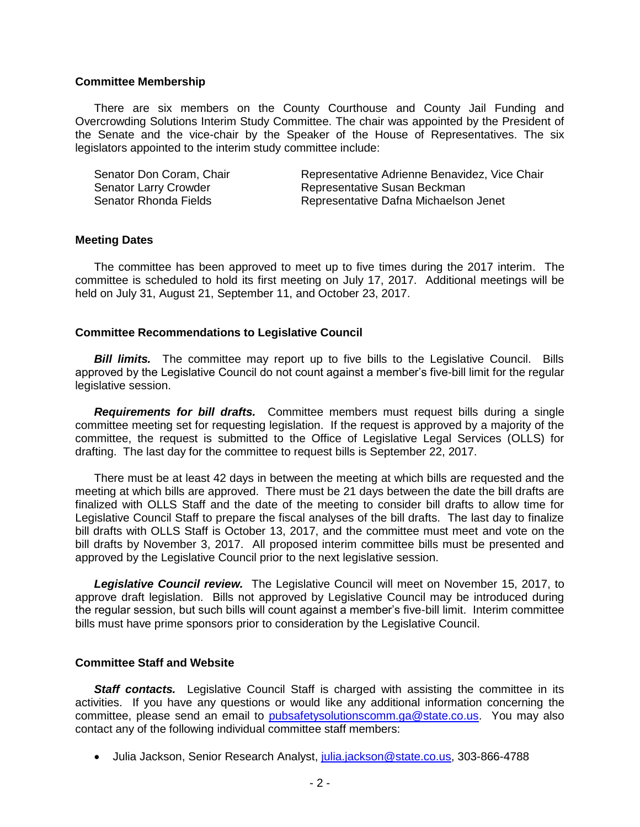### **Committee Membership**

There are six members on the County Courthouse and County Jail Funding and Overcrowding Solutions Interim Study Committee. The chair was appointed by the President of the Senate and the vice-chair by the Speaker of the House of Representatives. The six legislators appointed to the interim study committee include:

| Senator Don Coram, Chair     | Representative Adrienne Benavidez, Vice Chair |
|------------------------------|-----------------------------------------------|
| <b>Senator Larry Crowder</b> | Representative Susan Beckman                  |
| Senator Rhonda Fields        | Representative Dafna Michaelson Jenet         |

#### **Meeting Dates**

The committee has been approved to meet up to five times during the 2017 interim. The committee is scheduled to hold its first meeting on July 17, 2017. Additional meetings will be held on July 31, August 21, September 11, and October 23, 2017.

#### **Committee Recommendations to Legislative Council**

**Bill limits.** The committee may report up to five bills to the Legislative Council. Bills approved by the Legislative Council do not count against a member's five-bill limit for the regular legislative session.

*Requirements for bill drafts.* Committee members must request bills during a single committee meeting set for requesting legislation. If the request is approved by a majority of the committee, the request is submitted to the Office of Legislative Legal Services (OLLS) for drafting. The last day for the committee to request bills is September 22, 2017.

There must be at least 42 days in between the meeting at which bills are requested and the meeting at which bills are approved. There must be 21 days between the date the bill drafts are finalized with OLLS Staff and the date of the meeting to consider bill drafts to allow time for Legislative Council Staff to prepare the fiscal analyses of the bill drafts. The last day to finalize bill drafts with OLLS Staff is October 13, 2017, and the committee must meet and vote on the bill drafts by November 3, 2017. All proposed interim committee bills must be presented and approved by the Legislative Council prior to the next legislative session.

*Legislative Council review.* The Legislative Council will meet on November 15, 2017, to approve draft legislation. Bills not approved by Legislative Council may be introduced during the regular session, but such bills will count against a member's five-bill limit. Interim committee bills must have prime sponsors prior to consideration by the Legislative Council.

## **Committee Staff and Website**

**Staff contacts.** Legislative Council Staff is charged with assisting the committee in its activities. If you have any questions or would like any additional information concerning the committee, please send an email to [pubsafetysolutionscomm.ga@state.co.us.](mailto:pubsafetysolutionscomm.ga@state.co.us) You may also contact any of the following individual committee staff members:

Julia Jackson, Senior Research Analyst, [julia.jackson@state.co.us,](mailto:julia.jackson@state.co.us) 303-866-4788